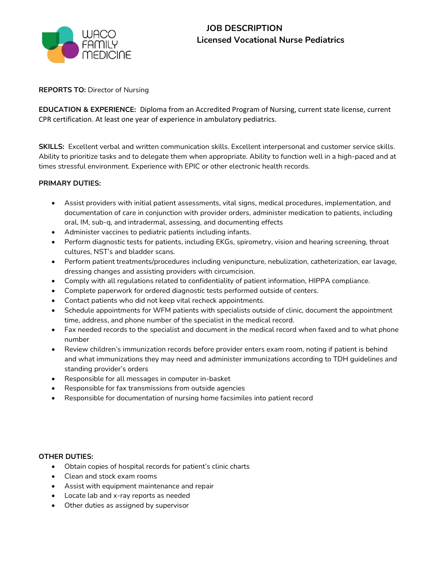

# **JOB DESCRIPTION Licensed Vocational Nurse Pediatrics**

## **REPORTS TO:** Director of Nursing

**EDUCATION & EXPERIENCE:** Diploma from an Accredited Program of Nursing, current state license, current CPR certification. At least one year of experience in ambulatory pediatrics.

**SKILLS:** Excellent verbal and written communication skills. Excellent interpersonal and customer service skills. Ability to prioritize tasks and to delegate them when appropriate. Ability to function well in a high-paced and at times stressful environment. Experience with EPIC or other electronic health records.

## **PRIMARY DUTIES:**

- Assist providers with initial patient assessments, vital signs, medical procedures, implementation, and documentation of care in conjunction with provider orders, administer medication to patients, including oral, IM, sub-q, and intradermal, assessing, and documenting effects
- Administer vaccines to pediatric patients including infants.
- Perform diagnostic tests for patients, including EKGs, spirometry, vision and hearing screening, throat cultures, NST's and bladder scans.
- Perform patient treatments/procedures including venipuncture, nebulization, catheterization, ear lavage, dressing changes and assisting providers with circumcision.
- Comply with all regulations related to confidentiality of patient information, HIPPA compliance.
- Complete paperwork for ordered diagnostic tests performed outside of centers.
- Contact patients who did not keep vital recheck appointments.
- Schedule appointments for WFM patients with specialists outside of clinic, document the appointment time, address, and phone number of the specialist in the medical record.
- Fax needed records to the specialist and document in the medical record when faxed and to what phone number
- Review children's immunization records before provider enters exam room, noting if patient is behind and what immunizations they may need and administer immunizations according to TDH guidelines and standing provider's orders
- Responsible for all messages in computer in-basket
- Responsible for fax transmissions from outside agencies
- Responsible for documentation of nursing home facsimiles into patient record

## **OTHER DUTIES:**

- Obtain copies of hospital records for patient's clinic charts
- Clean and stock exam rooms
- Assist with equipment maintenance and repair
- Locate lab and x-ray reports as needed
- Other duties as assigned by supervisor